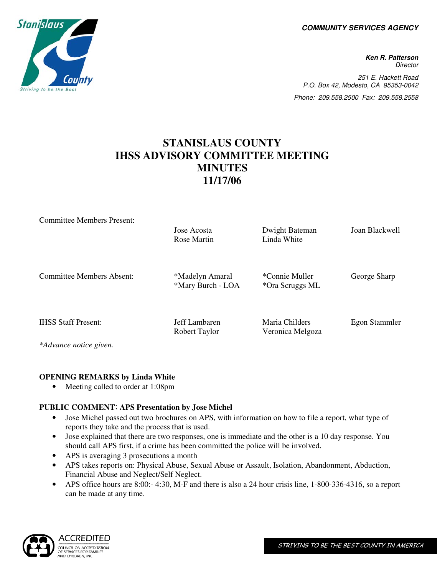**COMMUNITY SERVICES AGENCY** 

**Ken R. Patterson Director** 251 E. Hackett Road P.O. Box 42, Modesto, CA 95353-0042 Phone: 209.558.2500 Fax: 209.558.2558

# **STANISLAUS COUNTY IHSS ADVISORY COMMITTEE MEETING MINUTES 11/17/06**

| <b>Committee Members Present:</b> |                                      |                  |                |
|-----------------------------------|--------------------------------------|------------------|----------------|
|                                   | Jose Acosta                          | Dwight Bateman   | Joan Blackwell |
|                                   | Rose Martin                          | Linda White      |                |
|                                   |                                      |                  |                |
| <b>Committee Members Absent:</b>  |                                      | *Connie Muller   |                |
|                                   | *Madelyn Amaral<br>*Mary Burch - LOA | *Ora Scruggs ML  | George Sharp   |
|                                   |                                      |                  |                |
|                                   |                                      |                  |                |
| <b>IHSS Staff Present:</b>        | Jeff Lambaren                        | Maria Childers   | Egon Stammler  |
|                                   | Robert Taylor                        | Veronica Melgoza |                |
| *Advance notice given.            |                                      |                  |                |

### **OPENING REMARKS by Linda White**

• Meeting called to order at 1:08pm

### **PUBLIC COMMENT**: **APS Presentation by Jose Michel**

- Jose Michel passed out two brochures on APS, with information on how to file a report, what type of reports they take and the process that is used.
- Jose explained that there are two responses, one is immediate and the other is a 10 day response. You should call APS first, if a crime has been committed the police will be involved.
- APS is averaging 3 prosecutions a month
- APS takes reports on: Physical Abuse, Sexual Abuse or Assault, Isolation, Abandonment, Abduction, Financial Abuse and Neglect/Self Neglect.
- APS office hours are 8:00:- 4:30, M-F and there is also a 24 hour crisis line, 1-800-336-4316, so a report can be made at any time.



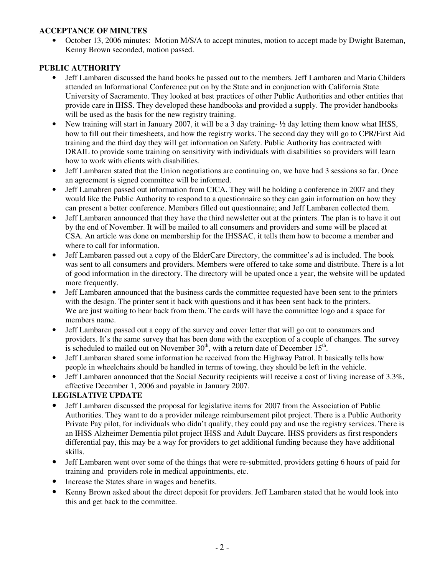#### **ACCEPTANCE OF MINUTES**

• October 13, 2006 minutes: Motion M/S/A to accept minutes, motion to accept made by Dwight Bateman, Kenny Brown seconded, motion passed.

### **PUBLIC AUTHORITY**

- Jeff Lambaren discussed the hand books he passed out to the members. Jeff Lambaren and Maria Childers attended an Informational Conference put on by the State and in conjunction with California State University of Sacramento. They looked at best practices of other Public Authorities and other entities that provide care in IHSS. They developed these handbooks and provided a supply. The provider handbooks will be used as the basis for the new registry training.
- New training will start in January 2007, it will be a 3 day training-  $\frac{1}{2}$  day letting them know what IHSS, how to fill out their timesheets, and how the registry works. The second day they will go to CPR/First Aid training and the third day they will get information on Safety. Public Authority has contracted with DRAIL to provide some training on sensitivity with individuals with disabilities so providers will learn how to work with clients with disabilities.
- Jeff Lambaren stated that the Union negotiations are continuing on, we have had 3 sessions so far. Once an agreement is signed committee will be informed.
- Jeff Lamabren passed out information from CICA. They will be holding a conference in 2007 and they would like the Public Authority to respond to a questionnaire so they can gain information on how they can present a better conference. Members filled out questionnaire; and Jeff Lambaren collected them.
- Jeff Lambaren announced that they have the third newsletter out at the printers. The plan is to have it out by the end of November. It will be mailed to all consumers and providers and some will be placed at CSA. An article was done on membership for the IHSSAC, it tells them how to become a member and where to call for information.
- Jeff Lambaren passed out a copy of the ElderCare Directory, the committee's ad is included. The book was sent to all consumers and providers. Members were offered to take some and distribute. There is a lot of good information in the directory. The directory will be upated once a year, the website will be updated more frequently.
- Jeff Lambaren announced that the business cards the committee requested have been sent to the printers with the design. The printer sent it back with questions and it has been sent back to the printers. We are just waiting to hear back from them. The cards will have the committee logo and a space for members name.
- Jeff Lambaren passed out a copy of the survey and cover letter that will go out to consumers and providers. It's the same survey that has been done with the exception of a couple of changes. The survey is scheduled to mailed out on November  $30<sup>th</sup>$ , with a return date of December  $15<sup>th</sup>$ .
- Jeff Lambaren shared some information he received from the Highway Patrol. It basically tells how people in wheelchairs should be handled in terms of towing, they should be left in the vehicle.
- Jeff Lambaren announced that the Social Security recipients will receive a cost of living increase of 3.3%, effective December 1, 2006 and payable in January 2007.

### **LEGISLATIVE UPDATE**

- Jeff Lambaren discussed the proposal for legislative items for 2007 from the Association of Public Authorities. They want to do a provider mileage reimbursement pilot project. There is a Public Authority Private Pay pilot, for individuals who didn't qualify, they could pay and use the registry services. There is an IHSS Alzheimer Dementia pilot project IHSS and Adult Daycare. IHSS providers as first responders differential pay, this may be a way for providers to get additional funding because they have additional skills.
- Jeff Lambaren went over some of the things that were re-submitted, providers getting 6 hours of paid for training and providers role in medical appointments, etc.
- Increase the States share in wages and benefits.
- Kenny Brown asked about the direct deposit for providers. Jeff Lambaren stated that he would look into this and get back to the committee.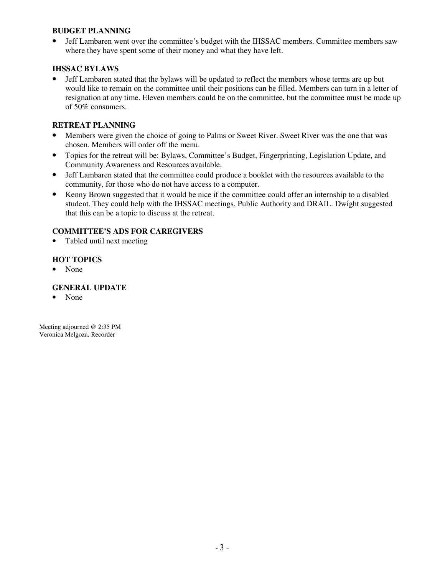#### **BUDGET PLANNING**

• Jeff Lambaren went over the committee's budget with the IHSSAC members. Committee members saw where they have spent some of their money and what they have left.

#### **IHSSAC BYLAWS**

• Jeff Lambaren stated that the bylaws will be updated to reflect the members whose terms are up but would like to remain on the committee until their positions can be filled. Members can turn in a letter of resignation at any time. Eleven members could be on the committee, but the committee must be made up of 50% consumers.

#### **RETREAT PLANNING**

- Members were given the choice of going to Palms or Sweet River. Sweet River was the one that was chosen. Members will order off the menu.
- Topics for the retreat will be: Bylaws, Committee's Budget, Fingerprinting, Legislation Update, and Community Awareness and Resources available.
- Jeff Lambaren stated that the committee could produce a booklet with the resources available to the community, for those who do not have access to a computer.
- Kenny Brown suggested that it would be nice if the committee could offer an internship to a disabled student. They could help with the IHSSAC meetings, Public Authority and DRAIL. Dwight suggested that this can be a topic to discuss at the retreat.

### **COMMITTEE'S ADS FOR CAREGIVERS**

• Tabled until next meeting

### **HOT TOPICS**

• None

#### **GENERAL UPDATE**

• None

Meeting adjourned @ 2:35 PM Veronica Melgoza, Recorder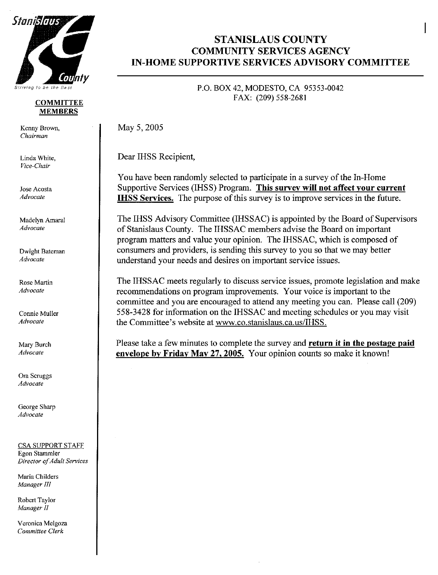

#### **COMMITTEE MEMBERS**

Kenny Brown, Chairman

Linda White. Vice-Chair

Jose Acosta Advocate

Madelyn Amaral Advocate

Dwight Bateman Advocate

Rose Martin **Advocate** 

Connie Muller Advocate

Mary Burch Advocate

Ora Scruggs Advocate

George Sharp Advocate

**CSA SUPPORT STAFF** Egon Stammler Director of Adult Services

Maria Childers Manager III

Robert Taylor Manager II

Veronica Melgoza Committee Clerk

# **STANISLAUS COUNTY COMMUNITY SERVICES AGENCY IN-HOME SUPPORTIVE SERVICES ADVISORY COMMITTEE**

## P.O. BOX 42, MODESTO, CA 95353-0042 FAX: (209) 558-2681

May 5, 2005

Dear IHSS Recipient,

You have been randomly selected to participate in a survey of the In-Home Supportive Services (IHSS) Program. This survey will not affect your current **IHSS Services.** The purpose of this survey is to improve services in the future.

The IHSS Advisory Committee (IHSSAC) is appointed by the Board of Supervisors of Stanislaus County. The IHSSAC members advise the Board on important program matters and value your opinion. The IHSSAC, which is composed of consumers and providers, is sending this survey to you so that we may better understand your needs and desires on important service issues.

The IHSSAC meets regularly to discuss service issues, promote legislation and make recommendations on program improvements. Your voice is important to the committee and you are encouraged to attend any meeting you can. Please call (209) 558-3428 for information on the IHSSAC and meeting schedules or you may visit the Committee's website at www.co.stanislaus.ca.us/IHSS.

Please take a few minutes to complete the survey and return it in the postage paid envelope by Friday May 27, 2005. Your opinion counts so make it known!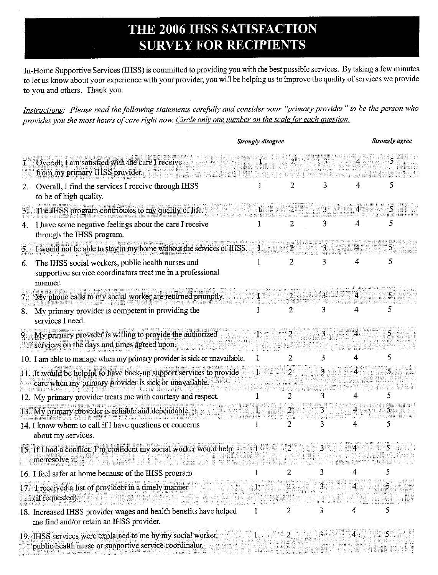# THE 2006 IHSS SATISFACTION **SURVEY FOR RECIPIENTS**

In-Home Supportive Services (IHSS) is committed to providing you with the best possible services. By taking a few minutes to let us know about your experience with your provider, you will be helping us to improve the quality of services we provide to you and others. Thank you.

Instructions: Please read the following statements carefully and consider your "primary provider" to be the person who provides you the most hours of care right now. Circle only one number on the scale for each question.

|    |                                                                                                                              | <b>Strongly disagree</b> |   |    | <b>Strongly</b> agree |    |  |
|----|------------------------------------------------------------------------------------------------------------------------------|--------------------------|---|----|-----------------------|----|--|
|    | Overall, I am satisfied with the care I receive<br>from my primary IHSS provider.                                            |                          |   | 3. |                       |    |  |
|    | Overall, I find the services I receive through IHSS<br>to be of high quality.                                                |                          | 2 | 3  | 4                     | 5  |  |
| 3. | The IHSS program contributes to my quality of life.                                                                          |                          |   | 3. |                       |    |  |
| 4. | I have some negative feelings about the care I receive<br>through the IHSS program.                                          |                          | 2 | 3  |                       |    |  |
| 5. | I would not be able to stay in my home without the services of IHSS.                                                         |                          | 2 | 3. | 4                     | 5. |  |
| 6. | The IHSS social workers, public health nurses and<br>supportive service coordinators treat me in a professional<br>manner    |                          | 2 | 3  | 4                     | 5  |  |
| 7. | My phone calls to my social worker are returned promptly.                                                                    |                          |   | з  | 4                     | 5. |  |
| 8. | My primary provider is competent in providing the<br>services I need.                                                        |                          | 2 | 3  | 4                     | 5  |  |
| 9  | My primary provider is willing to provide the authorized<br>services on the days and times agreed upon.                      |                          | 2 |    |                       |    |  |
|    | 10. I am able to manage when my primary provider is sick or unavailable.                                                     |                          |   |    | 4                     | 5  |  |
|    | 11. It would be helpful to have back-up support services to provide<br>care when my primary provider is sick or unavailable. |                          | 2 | З. | 4                     | 5  |  |
|    | 12. My primary provider treats me with courtesy and respect.                                                                 |                          |   |    |                       |    |  |
|    | 13. My primary provider is reliable and dependable.                                                                          |                          |   |    |                       |    |  |
|    | 14. I know whom to call if I have questions or concerns<br>about my services.                                                |                          | 2 | 3  |                       |    |  |
|    | 15. If I had a conflict, I'm confident my social worker would help<br>me resolve it.                                         |                          |   |    |                       |    |  |
|    | 16. I feel safer at home because of the IHSS program.                                                                        |                          |   |    |                       |    |  |
|    | 17. I received a list of providers in a timely manner<br>(if requested).                                                     |                          | 2 |    |                       | 5  |  |
|    | 18. Increased IHSS provider wages and health benefits have helped<br>me find and/or retain an IHSS provider.                 | 1                        | 2 | 3  |                       | 5  |  |
|    | 19. IHSS services were explained to me by my social worker,<br>public health nurse or supportive service coordinator.        |                          |   | 3  |                       |    |  |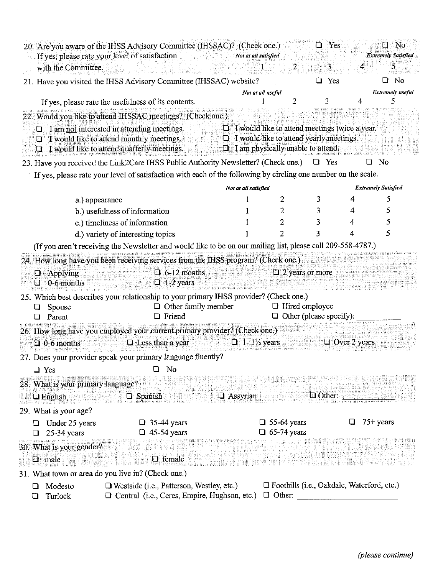|                                                        | 20. Are you aware of the IHSS Advisory Committee (IHSSAC)? (Check one.)<br>If yes, please rate your level of satisfaction                 | Not at all satisfied                                                                             |                                                                    | $\Box$ Yes                     |                     | $\square$ No<br><b>Extremely Satisfied</b> |  |  |  |  |  |  |
|--------------------------------------------------------|-------------------------------------------------------------------------------------------------------------------------------------------|--------------------------------------------------------------------------------------------------|--------------------------------------------------------------------|--------------------------------|---------------------|--------------------------------------------|--|--|--|--|--|--|
| with the Committee.                                    |                                                                                                                                           |                                                                                                  |                                                                    | $\mathbf{3}$                   | 4                   | 5                                          |  |  |  |  |  |  |
|                                                        | 21. Have you visited the IHSS Advisory Committee (IHSSAC) website?                                                                        |                                                                                                  |                                                                    | $\Box$ Yes                     |                     | $\Box$ No                                  |  |  |  |  |  |  |
|                                                        |                                                                                                                                           | Not at all useful                                                                                | 2                                                                  | 3                              | 4                   | <b>Extremely</b> useful                    |  |  |  |  |  |  |
|                                                        | If yes, please rate the usefulness of its contents.                                                                                       |                                                                                                  |                                                                    |                                |                     |                                            |  |  |  |  |  |  |
|                                                        | 22. Would you like to attend IHSSAC meetings? (Check one.)                                                                                |                                                                                                  |                                                                    |                                |                     |                                            |  |  |  |  |  |  |
| u<br>Ð                                                 | I am not interested in attending meetings.<br>I would like to attend monthly meetings.<br>U<br>I would like to attend quarterly meetings. | $\Box$ I would like to attend meetings twice a year.<br>$\Box$ I am physically unable to attend. | I would like to attend yearly meetings.                            |                                |                     |                                            |  |  |  |  |  |  |
|                                                        | 23. Have you received the Link2Care IHSS Public Authority Newsletter? (Check one.)                                                        |                                                                                                  |                                                                    | $\Box$ Yes                     |                     | No                                         |  |  |  |  |  |  |
|                                                        | If yes, please rate your level of satisfaction with each of the following by circling one number on the scale.                            |                                                                                                  |                                                                    |                                |                     |                                            |  |  |  |  |  |  |
| <b>Extremely Satisfied</b><br>Not at all satisfied     |                                                                                                                                           |                                                                                                  |                                                                    |                                |                     |                                            |  |  |  |  |  |  |
| a.) appearance                                         |                                                                                                                                           |                                                                                                  | 2                                                                  | 3                              |                     | 5                                          |  |  |  |  |  |  |
|                                                        | b.) usefulness of information                                                                                                             |                                                                                                  | 2                                                                  | 3                              | 4                   | 5                                          |  |  |  |  |  |  |
|                                                        | c.) timeliness of information                                                                                                             |                                                                                                  | 2                                                                  | 3                              | 4                   | 5                                          |  |  |  |  |  |  |
|                                                        | d.) variety of interesting topics                                                                                                         |                                                                                                  | 2                                                                  | 3                              |                     | 5                                          |  |  |  |  |  |  |
|                                                        | (If you aren't receiving the Newsletter and would like to be on our mailing list, please call 209-558-4787.)                              |                                                                                                  |                                                                    |                                |                     |                                            |  |  |  |  |  |  |
|                                                        | 24. How long have you been receiving services from the IHSS program? (Check one.)                                                         |                                                                                                  |                                                                    |                                |                     |                                            |  |  |  |  |  |  |
| Applying<br>O                                          | $\Box$ 6-12 months                                                                                                                        |                                                                                                  | $\Box$ 2 years or more                                             |                                |                     |                                            |  |  |  |  |  |  |
| $\Box$ 0-6 months                                      | $\Box$ 1-2 years                                                                                                                          |                                                                                                  |                                                                    |                                |                     |                                            |  |  |  |  |  |  |
|                                                        | 25. Which best describes your relationship to your primary IHSS provider? (Check one.)                                                    |                                                                                                  |                                                                    |                                |                     |                                            |  |  |  |  |  |  |
| Spouse                                                 | $\Box$ Other family member                                                                                                                |                                                                                                  | $\Box$ Hired employee                                              |                                |                     |                                            |  |  |  |  |  |  |
| Parent                                                 | <b>Q</b> Friend                                                                                                                           |                                                                                                  |                                                                    | $\Box$ Other (please specify): |                     |                                            |  |  |  |  |  |  |
|                                                        | 26. How long have you employed your current primary provider? (Check one.)                                                                |                                                                                                  |                                                                    |                                |                     |                                            |  |  |  |  |  |  |
| $\Box$ 0-6 months                                      | $\Box$ Less than a year                                                                                                                   | $\Box$ 1-1/2 years                                                                               |                                                                    |                                | $\Box$ Over 2 years |                                            |  |  |  |  |  |  |
|                                                        | 27. Does your provider speak your primary language fluently?                                                                              |                                                                                                  |                                                                    |                                |                     |                                            |  |  |  |  |  |  |
| $\Box$ Yes                                             | No<br>⊔                                                                                                                                   |                                                                                                  |                                                                    |                                |                     |                                            |  |  |  |  |  |  |
| 28. What is your primary language?<br><b>Q</b> English | □ Spanish                                                                                                                                 | <b>Assyrian</b>                                                                                  |                                                                    | $\Box$ Other:                  |                     |                                            |  |  |  |  |  |  |
| 29. What is your age?                                  |                                                                                                                                           |                                                                                                  |                                                                    |                                |                     |                                            |  |  |  |  |  |  |
| Under 25 years                                         | $\Box$ 35-44 years                                                                                                                        |                                                                                                  | $\Box$ 55-64 years                                                 |                                |                     | $75+$ years                                |  |  |  |  |  |  |
| $25-34$ years                                          | $\Box$ 45-54 years                                                                                                                        |                                                                                                  | $\Box$ 65-74 years                                                 |                                |                     |                                            |  |  |  |  |  |  |
| 30. What is your gender?<br>$\Box$ male                | <b>Q</b> female                                                                                                                           |                                                                                                  |                                                                    |                                |                     |                                            |  |  |  |  |  |  |
|                                                        | 31. What town or area do you live in? (Check one.)                                                                                        |                                                                                                  |                                                                    |                                |                     |                                            |  |  |  |  |  |  |
| Modesto<br>Turlock<br>ப                                | $\Box$ Westside (i.e., Patterson, Westley, etc.)<br>□ Central (i.e., Ceres, Empire, Hughson, etc.)                                        |                                                                                                  | $\Box$ Foothills (i.e., Oakdale, Waterford, etc.)<br>$\Box$ Other: |                                |                     |                                            |  |  |  |  |  |  |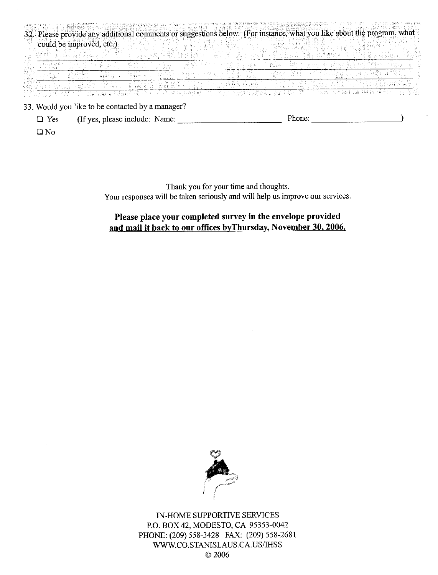|  | 32. Please provide any additional comments or suggestions below. (For instance, what you like about the program, what |        |  |             |               |         |  |  |
|--|-----------------------------------------------------------------------------------------------------------------------|--------|--|-------------|---------------|---------|--|--|
|  | could be improved, etc.)                                                                                              |        |  |             |               |         |  |  |
|  |                                                                                                                       |        |  |             |               |         |  |  |
|  |                                                                                                                       | PAS RA |  |             |               |         |  |  |
|  |                                                                                                                       |        |  |             |               |         |  |  |
|  |                                                                                                                       |        |  |             |               |         |  |  |
|  |                                                                                                                       |        |  | the control | (Agred Allen) | -1255 - |  |  |
|  | 33. Would you like to be contacted by a manager?                                                                      |        |  |             |               |         |  |  |

| $\Box$ Yes | (If yes, please include: Name: |  | <sup>o</sup> hone. |
|------------|--------------------------------|--|--------------------|
|------------|--------------------------------|--|--------------------|

 $\square$  No

Thank you for your time and thoughts. Your responses will be taken seriously and will help us improve our services.

## Please place your completed survey in the envelope provided and mail it back to our offices by Thursday, November 30, 2006.

 $\sim$ 



IN-HOME SUPPORTIVE SERVICES P.O. BOX 42, MODESTO, CA 95353-0042 PHONE: (209) 558-3428 FAX: (209) 558-2681 WWW.CO.STANISLAUS.CA.US/IHSS © 2006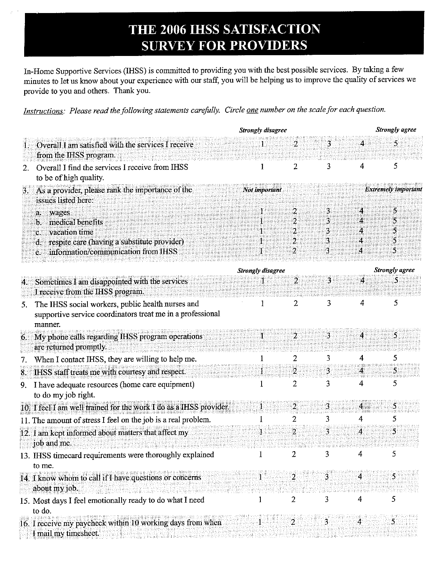# THE 2006 IHSS SATISFACTION **SURVEY FOR PROVIDERS**

In-Home Supportive Services (IHSS) is committed to providing you with the best possible services. By taking a few minutes to let us know about your experience with our staff, you will be helping us to improve the quality of services we provide to you and others. Thank you.

Instructions: Please read the following statements carefully. Circle one number on the scale for each question.

|                                                                                                                                                                           | <b>Strongly disagree</b> |                                    | Strongly agree        |                |                            |
|---------------------------------------------------------------------------------------------------------------------------------------------------------------------------|--------------------------|------------------------------------|-----------------------|----------------|----------------------------|
| Overall I am satisfied with the services I receive<br>from the IHSS program.                                                                                              |                          | $\overline{2}$                     | 3                     | $\overline{4}$ | 5                          |
| Overall I find the services I receive from IHSS<br>2.<br>to be of high quality.                                                                                           | 1                        | 2                                  | 3                     | 4              | 5                          |
| As a provider, please rank the importance of the<br>З.<br>issues listed here:                                                                                             | Not important            |                                    |                       |                | <b>Extremely important</b> |
| wages<br>a.<br>medical benefits<br>b.<br>vacation time<br>C.<br>respite care (having a substitute provider)<br>$\mathbf d$ .<br>information/communication from IHSS<br>e. |                          | 2<br>2<br>2<br>2<br>$\overline{2}$ | 3<br>3<br>3<br>3<br>3 | 4              | 5<br>S<br>5                |
|                                                                                                                                                                           |                          |                                    |                       |                |                            |
| Sometimes I am disappointed with the services<br>4.<br>I receive from the IHSS program.                                                                                   | <b>Strongly disagree</b> | $\overline{2}$                     | 3                     | 4              | <b>Strongly</b> agree<br>5 |
| The IHSS social workers, public health nurses and<br>5.<br>supportive service coordinators treat me in a professional<br>manner.                                          | 1                        | 2                                  | 3                     | 4              | 5                          |
| My phone calls regarding IHSS program operations<br>6.<br>are returned promptly.                                                                                          |                          | $\overline{2}$                     | 3                     | 4              | 5.                         |
| When I contact IHSS, they are willing to help me.<br>7.                                                                                                                   |                          | 2                                  | 3                     | 4              | 5                          |
| IHSS staff treats me with courtesy and respect.<br>8.                                                                                                                     |                          | 2                                  | 3.                    | 4              | 5.                         |
| I have adequate resources (home care equipment)<br>9.<br>to do my job right.                                                                                              |                          | $\overline{2}$                     | 3                     | 4              | 5                          |
| 10. I feel I am well trained for the work I do as a IHSS provider.                                                                                                        |                          | $\overline{a}$                     | 3                     | 4              | 5                          |
| 11. The amount of stress I feel on the job is a real problem.                                                                                                             |                          | 2                                  | 3                     | 4              | 5                          |
| 12. I am kept informed about matters that affect my<br>job and me.                                                                                                        |                          | $\overline{2}$                     | 3                     | 4              | 5                          |
| 13. IHSS timecard requirements were thoroughly explained<br>to me.                                                                                                        |                          | 2                                  | 3                     | 4              | 5                          |
| 14. I know whom to call if I have questions or concerns<br>about my job.                                                                                                  |                          |                                    | 3                     | 4              | 5                          |
| 15. Most days I feel emotionally ready to do what I need<br>to do.                                                                                                        |                          |                                    | 3                     | 4              | 5                          |
| 16. I receive my paycheck within 10 working days from when<br>I mail my timesheet.                                                                                        |                          |                                    |                       |                | 5.                         |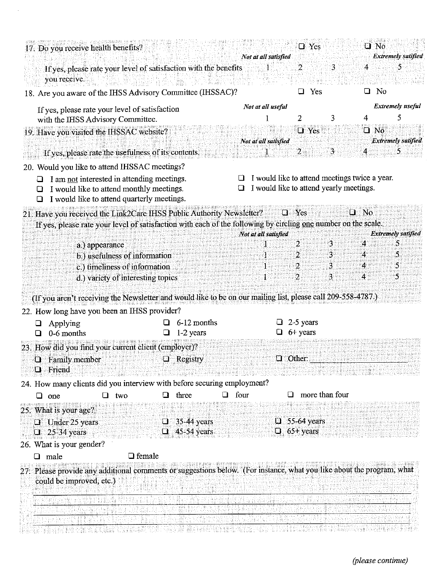| 17. Do you receive health benefits?                                                                                                                                                     |                |                                   |   |                            |      |                           |                                 | $\Box$ Yes     |                                                                                                 |    | $\square$ $\neg$ $\neg$ |                                 |
|-----------------------------------------------------------------------------------------------------------------------------------------------------------------------------------------|----------------|-----------------------------------|---|----------------------------|------|---------------------------|---------------------------------|----------------|-------------------------------------------------------------------------------------------------|----|-------------------------|---------------------------------|
| If yes, please rate your level of satisfaction with the benefits<br>you receive.                                                                                                        |                |                                   |   |                            |      | Not at all satisfied<br>1 | $\overline{2}$                  |                | 3                                                                                               | 4  |                         | <b>Extremely satified</b><br>5  |
| 18. Are you aware of the IHSS Advisory Committee (IHSSAC)?                                                                                                                              |                |                                   |   |                            |      |                           | ◻                               | Yes            |                                                                                                 |    | $\Box$ No               |                                 |
| If yes, please rate your level of satisfaction<br>with the IHSS Advisory Committee.                                                                                                     |                |                                   |   |                            |      | Not at all useful         | 2                               |                | 3                                                                                               | 4  |                         | <b>Extremely</b> useful<br>5    |
| 19. Have you visited the IHSSAC website?<br>If yes, please rate the usefulness of its contents.                                                                                         |                |                                   |   |                            |      | Not at all satisfied      | 2                               | $\Box$ Yes     | 3                                                                                               |    | $\square$ No            | <b>Extremely satified</b><br>Ő. |
| 20. Would you like to attend IHSSAC meetings?                                                                                                                                           |                |                                   |   |                            |      |                           |                                 |                |                                                                                                 |    |                         |                                 |
| I am not interested in attending meetings.<br>⊔<br>I would like to attend monthly meetings.<br>I would like to attend quarterly meetings.                                               |                |                                   |   |                            |      |                           |                                 |                | $\Box$ I would like to attend meetings twice a year.<br>I would like to attend yearly meetings. |    |                         |                                 |
| 21. Have you received the Link2Care IHSS Public Authority Newsletter?<br>If yes, please rate your level of satisfaction with each of the following by circling one number on the scale. |                |                                   |   |                            |      | $\mathbf u$               | Yes                             |                | u                                                                                               | No |                         |                                 |
|                                                                                                                                                                                         | a.) appearance |                                   |   |                            |      | Not at all satisfied      | 2                               |                | 3                                                                                               | 4  |                         | <b>Extremely satified</b><br>5  |
|                                                                                                                                                                                         |                | b.) usefulness of information     |   |                            |      |                           | 2                               |                | 3                                                                                               | 4  |                         | Ĉ                               |
|                                                                                                                                                                                         |                | c.) timeliness of information     |   |                            |      |                           | 2                               |                | 3                                                                                               | 4  |                         | 5                               |
|                                                                                                                                                                                         |                | d.) variety of interesting topics |   |                            |      | 1                         | $\overline{2}$                  |                | 3                                                                                               | 4  |                         | 5                               |
| (If you aren't receiving the Newsletter and would like to be on our mailing list, please call 209-558-4787.)                                                                            |                |                                   |   |                            |      |                           |                                 |                |                                                                                                 |    |                         |                                 |
| 22. How long have you been an IHSS provider?                                                                                                                                            |                |                                   |   |                            |      |                           |                                 |                |                                                                                                 |    |                         |                                 |
| Applying<br>❏                                                                                                                                                                           |                |                                   |   | 6-12 months                |      |                           | 2-5 years                       |                |                                                                                                 |    |                         |                                 |
| 0-6 months                                                                                                                                                                              |                |                                   |   | 1-2 years                  |      |                           | $\Box$ 6+ years                 |                |                                                                                                 |    |                         |                                 |
| 23. How did you find your current client (employer)?                                                                                                                                    |                |                                   |   |                            |      |                           |                                 |                |                                                                                                 |    |                         |                                 |
| Family member                                                                                                                                                                           |                |                                   |   | Registry                   |      |                           | $\Box$ Other:                   |                |                                                                                                 |    |                         |                                 |
| <b>Q</b> Friend                                                                                                                                                                         |                |                                   |   |                            |      |                           |                                 |                |                                                                                                 |    |                         |                                 |
| 24. How many clients did you interview with before securing employment?                                                                                                                 |                |                                   |   |                            |      |                           | ப                               | more than four |                                                                                                 |    |                         |                                 |
| one<br>ப                                                                                                                                                                                |                | two                               | ப | three                      | four |                           |                                 |                |                                                                                                 |    |                         |                                 |
| 25. What is your age?                                                                                                                                                                   |                |                                   |   |                            |      |                           |                                 |                |                                                                                                 |    |                         |                                 |
| $\Box$ Under 25 years<br>$25-34$ years<br>$\Box$                                                                                                                                        |                |                                   | O | 35-44 years<br>45-54 years |      | IJ.                       | 55-64 years<br>$\Box$ 65+ years |                |                                                                                                 |    |                         |                                 |
| 26. What is your gender?                                                                                                                                                                |                |                                   |   |                            |      |                           |                                 |                |                                                                                                 |    |                         |                                 |
| $\Box$ male                                                                                                                                                                             |                | $\Box$ female                     |   |                            |      |                           |                                 |                |                                                                                                 |    |                         |                                 |
| 27. Please provide any additional comments or suggestions below. (For instance, what you like about the program, what<br>could be improved, etc.)                                       |                |                                   |   |                            |      |                           |                                 |                |                                                                                                 |    |                         |                                 |
|                                                                                                                                                                                         |                |                                   |   |                            |      |                           |                                 |                |                                                                                                 |    |                         |                                 |
|                                                                                                                                                                                         |                |                                   |   |                            |      |                           |                                 |                |                                                                                                 |    |                         |                                 |
|                                                                                                                                                                                         |                |                                   |   |                            |      |                           |                                 |                |                                                                                                 |    |                         |                                 |

 $\mathcal{A}$